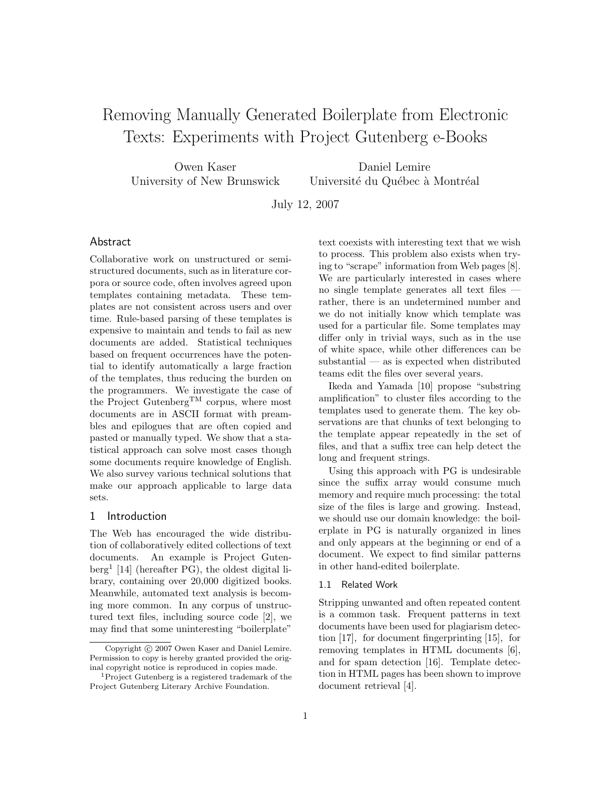# Removing Manually Generated Boilerplate from Electronic Texts: Experiments with Project Gutenberg e-Books

Owen Kaser University of New Brunswick

Daniel Lemire Université du Québec à Montréal

July 12, 2007

# Abstract

Collaborative work on unstructured or semistructured documents, such as in literature corpora or source code, often involves agreed upon templates containing metadata. These templates are not consistent across users and over time. Rule-based parsing of these templates is expensive to maintain and tends to fail as new documents are added. Statistical techniques based on frequent occurrences have the potential to identify automatically a large fraction of the templates, thus reducing the burden on the programmers. We investigate the case of the Project GutenbergTM corpus, where most documents are in ASCII format with preambles and epilogues that are often copied and pasted or manually typed. We show that a statistical approach can solve most cases though some documents require knowledge of English. We also survey various technical solutions that make our approach applicable to large data sets.

# 1 Introduction

The Web has encouraged the wide distribution of collaboratively edited collections of text documents. An example is Project Gutenberg<sup>1</sup> [14] (hereafter PG), the oldest digital library, containing over 20,000 digitized books. Meanwhile, automated text analysis is becoming more common. In any corpus of unstructured text files, including source code [2], we may find that some uninteresting "boilerplate"

text coexists with interesting text that we wish to process. This problem also exists when trying to "scrape" information from Web pages [8]. We are particularly interested in cases where no single template generates all text files rather, there is an undetermined number and we do not initially know which template was used for a particular file. Some templates may differ only in trivial ways, such as in the use of white space, while other differences can be substantial — as is expected when distributed teams edit the files over several years.

Ikeda and Yamada [10] propose "substring amplification" to cluster files according to the templates used to generate them. The key observations are that chunks of text belonging to the template appear repeatedly in the set of files, and that a suffix tree can help detect the long and frequent strings.

Using this approach with PG is undesirable since the suffix array would consume much memory and require much processing: the total size of the files is large and growing. Instead, we should use our domain knowledge: the boilerplate in PG is naturally organized in lines and only appears at the beginning or end of a document. We expect to find similar patterns in other hand-edited boilerplate.

## 1.1 Related Work

Stripping unwanted and often repeated content is a common task. Frequent patterns in text documents have been used for plagiarism detection [17], for document fingerprinting [15], for removing templates in HTML documents [6], and for spam detection [16]. Template detection in HTML pages has been shown to improve document retrieval [4].

Copyright © 2007 Owen Kaser and Daniel Lemire. Permission to copy is hereby granted provided the original copyright notice is reproduced in copies made.

<sup>1</sup>Project Gutenberg is a registered trademark of the Project Gutenberg Literary Archive Foundation.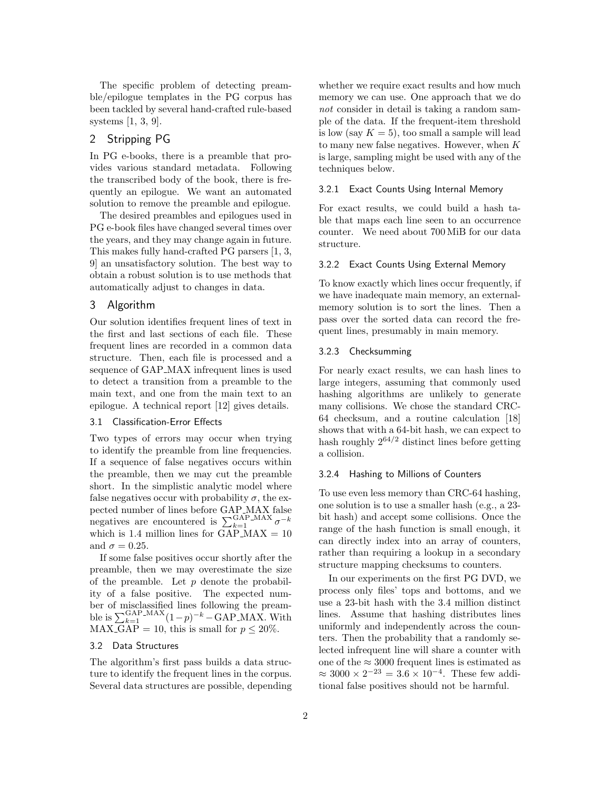The specific problem of detecting preamble/epilogue templates in the PG corpus has been tackled by several hand-crafted rule-based systems [1, 3, 9].

## 2 Stripping PG

In PG e-books, there is a preamble that provides various standard metadata. Following the transcribed body of the book, there is frequently an epilogue. We want an automated solution to remove the preamble and epilogue.

The desired preambles and epilogues used in PG e-book files have changed several times over the years, and they may change again in future. This makes fully hand-crafted PG parsers [1, 3, 9] an unsatisfactory solution. The best way to obtain a robust solution is to use methods that automatically adjust to changes in data.

## 3 Algorithm

Our solution identifies frequent lines of text in the first and last sections of each file. These frequent lines are recorded in a common data structure. Then, each file is processed and a sequence of GAP MAX infrequent lines is used to detect a transition from a preamble to the main text, and one from the main text to an epilogue. A technical report [12] gives details.

## 3.1 Classification-Error Effects

Two types of errors may occur when trying to identify the preamble from line frequencies. If a sequence of false negatives occurs within the preamble, then we may cut the preamble short. In the simplistic analytic model where false negatives occur with probability  $\sigma$ , the expected number of lines before GAP MAX false negatives are encountered is  $\sum_{k=1}^{\text{GAP}} M_A \sigma^{-k}$ which is 1.4 million lines for  $GAP\_MAX = 10$ and  $\sigma = 0.25$ .

If some false positives occur shortly after the preamble, then we may overestimate the size of the preamble. Let  $p$  denote the probability of a false positive. The expected number of misclassified lines following the preamble is  $\sum_{k=1}^{\text{GAP\_MAX}} (1-p)^{-k} - \text{GAP\_MAX}$ . With MAX\_GAP = 10, this is small for  $p \le 20\%$ .

## 3.2 Data Structures

The algorithm's first pass builds a data structure to identify the frequent lines in the corpus. Several data structures are possible, depending

whether we require exact results and how much memory we can use. One approach that we do not consider in detail is taking a random sample of the data. If the frequent-item threshold is low (say  $K = 5$ ), too small a sample will lead to many new false negatives. However, when K is large, sampling might be used with any of the techniques below.

## 3.2.1 Exact Counts Using Internal Memory

For exact results, we could build a hash table that maps each line seen to an occurrence counter. We need about 700 MiB for our data structure.

#### 3.2.2 Exact Counts Using External Memory

To know exactly which lines occur frequently, if we have inadequate main memory, an externalmemory solution is to sort the lines. Then a pass over the sorted data can record the frequent lines, presumably in main memory.

### 3.2.3 Checksumming

For nearly exact results, we can hash lines to large integers, assuming that commonly used hashing algorithms are unlikely to generate many collisions. We chose the standard CRC-64 checksum, and a routine calculation [18] shows that with a 64-bit hash, we can expect to hash roughly  $2^{64/2}$  distinct lines before getting a collision.

#### 3.2.4 Hashing to Millions of Counters

To use even less memory than CRC-64 hashing, one solution is to use a smaller hash (e.g., a 23 bit hash) and accept some collisions. Once the range of the hash function is small enough, it can directly index into an array of counters, rather than requiring a lookup in a secondary structure mapping checksums to counters.

In our experiments on the first PG DVD, we process only files' tops and bottoms, and we use a 23-bit hash with the 3.4 million distinct lines. Assume that hashing distributes lines uniformly and independently across the counters. Then the probability that a randomly selected infrequent line will share a counter with one of the  $\approx 3000$  frequent lines is estimated as  $\approx 3000 \times 2^{-23} = 3.6 \times 10^{-4}$ . These few additional false positives should not be harmful.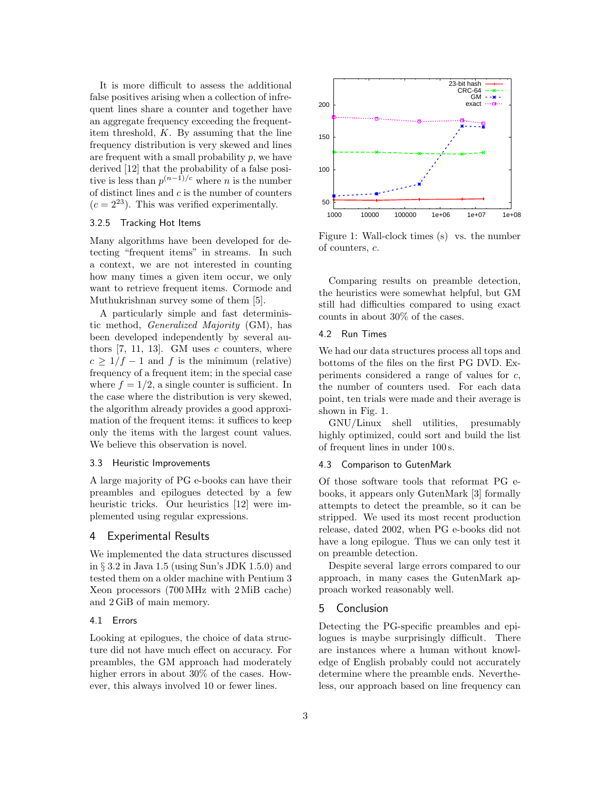It is more difficult to assess the additional false positives arising when a collection of infrequent lines share a counter and together have an aggregate frequency exceeding the frequentitem threshold, K. By assuming that the line frequency distribution is very skewed and lines are frequent with a small probability  $p$ , we have derived [12] that the probability of a false positive is less than  $p^{(n-1)/c}$  where *n* is the number of distinct lines and  $c$  is the number of counters  $(c = 2^{23})$ . This was verified experimentally.

## 3.2.5 Tracking Hot Items

Many algorithms have been developed for detecting "frequent items" in streams. In such a context, we are not interested in counting how many times a given item occur, we only want to retrieve frequent items. Cormode and Muthukrishnan survey some of them [5].

A particularly simple and fast deterministic method, Generalized Majority (GM), has been developed independently by several authors  $[7, 11, 13]$ . GM uses c counters, where  $c > 1/f - 1$  and f is the minimum (relative) frequency of a frequent item; in the special case where  $f = 1/2$ , a single counter is sufficient. In the case where the distribution is very skewed, the algorithm already provides a good approximation of the frequent items: it suffices to keep only the items with the largest count values. We believe this observation is novel.

#### 3.3 Heuristic Improvements

A large majority of PG e-books can have their preambles and epilogues detected by a few heuristic tricks. Our heuristics [12] were implemented using regular expressions.

## 4 Experimental Results

We implemented the data structures discussed in § 3.2 in Java 1.5 (using Sun's JDK 1.5.0) and tested them on a older machine with Pentium 3 Xeon processors (700 MHz with 2 MiB cache) and 2 GiB of main memory.

#### 4.1 Errors

Looking at epilogues, the choice of data structure did not have much effect on accuracy. For preambles, the GM approach had moderately higher errors in about  $30\%$  of the cases. However, this always involved 10 or fewer lines.



Figure 1: Wall-clock times (s) vs. the number of counters, c.

Comparing results on preamble detection, the heuristics were somewhat helpful, but GM still had difficulties compared to using exact counts in about 30% of the cases.

## 4.2 Run Times

We had our data structures process all tops and bottoms of the files on the first PG DVD. Experiments considered a range of values for c, the number of counters used. For each data point, ten trials were made and their average is shown in Fig. 1.

GNU/Linux shell utilities, presumably highly optimized, could sort and build the list of frequent lines in under 100 s.

## 4.3 Comparison to GutenMark

Of those software tools that reformat PG ebooks, it appears only GutenMark [3] formally attempts to detect the preamble, so it can be stripped. We used its most recent production release, dated 2002, when PG e-books did not have a long epilogue. Thus we can only test it on preamble detection.

Despite several large errors compared to our approach, in many cases the GutenMark approach worked reasonably well.

# 5 Conclusion

Detecting the PG-specific preambles and epilogues is maybe surprisingly difficult. There are instances where a human without knowledge of English probably could not accurately determine where the preamble ends. Nevertheless, our approach based on line frequency can